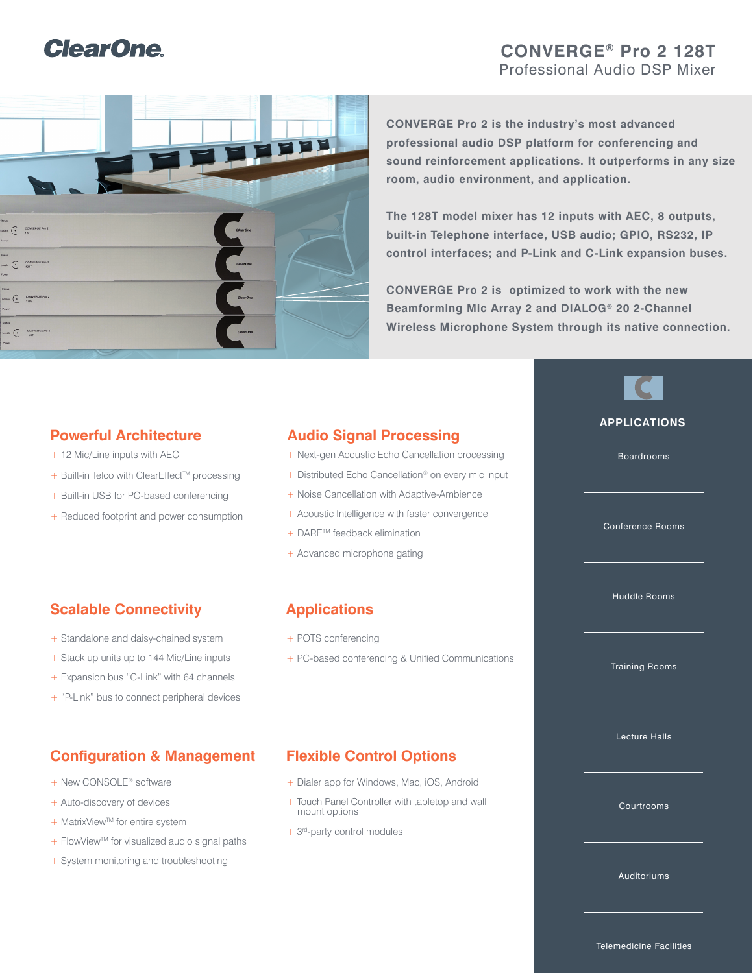# **ClearOne**

# **CONVERGE® Pro 2 128T** Professional Audio DSP Mixer



**CONVERGE Pro 2 is the industry's most advanced professional audio DSP platform for conferencing and sound reinforcement applications. It outperforms in any size room, audio environment, and application.**

**The 128T model mixer has 12 inputs with AEC, 8 outputs, built-in Telephone interface, USB audio; GPIO, RS232, IP control interfaces; and P-Link and C-Link expansion buses.**

**CONVERGE Pro 2 is optimized to work with the new Beamforming Mic Array 2 and DIALOG® 20 2-Channel Wireless Microphone System through its native connection.**

## **Powerful Architecture**

- + 12 Mic/Line inputs with AEC
- $+$  Built-in Telco with ClearEffect<sup>™</sup> processing
- + Built-in USB for PC-based conferencing
- + Reduced footprint and power consumption

# **Audio Signal Processing**

- + Next-gen Acoustic Echo Cancellation processing
- + Distributed Echo Cancellation<sup>®</sup> on every mic input
- + Noise Cancellation with Adaptive-Ambience
- + Acoustic Intelligence with faster convergence
- + DARE™ feedback elimination
- + Advanced microphone gating

# **Scalable Connectivity**

- + Standalone and daisy-chained system
- + Stack up units up to 144 Mic/Line inputs
- + Expansion bus "C-Link" with 64 channels
- + "P-Link" bus to connect peripheral devices

# **Configuration & Management Flexible Control Options**

- + New CONSOLE<sup>®</sup> software
- + Auto-discovery of devices
- + MatrixView™ for entire system
- + FlowView™ for visualized audio signal paths
- + System monitoring and troubleshooting

# **Applications**

- + POTS conferencing
- + PC-based conferencing & Unified Communications

- + Dialer app for Windows, Mac, iOS, Android
- + Touch Panel Controller with tabletop and wall mount options
- + 3rd-party control modules

Lecture Halls

**APPLICATIONS**

Boardrooms

Conference Rooms

Huddle Rooms

Training Rooms

Courtrooms

Auditoriums

Telemedicine Facilities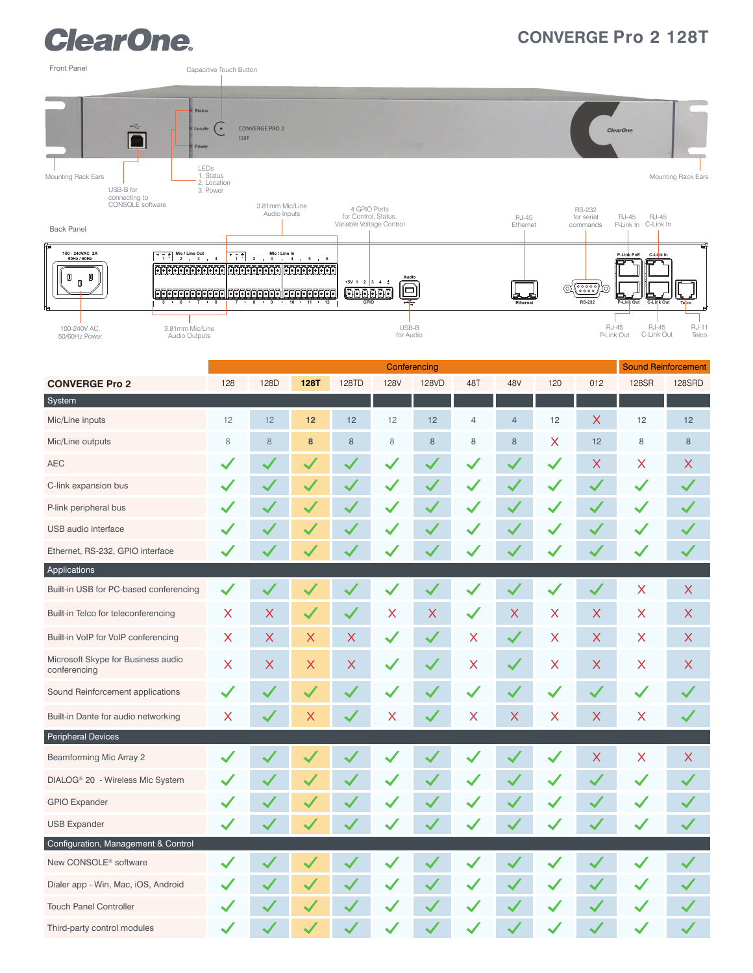# **ClearOne.**

# **CONVERGE Pro 2 128T**



|                                                    |                | Conferencing |              |              |             |          |                |                |                         |                           | <b>Sound Reinforcement</b> |                           |
|----------------------------------------------------|----------------|--------------|--------------|--------------|-------------|----------|----------------|----------------|-------------------------|---------------------------|----------------------------|---------------------------|
| <b>CONVERGE Pro 2</b>                              | 128            | 128D         | <b>128T</b>  | 128TD        | <b>128V</b> | 128VD    | 48T            | 48V            | 120                     | 012                       | 128SR                      | 128SRD                    |
| System                                             |                |              |              |              |             |          |                |                |                         |                           |                            |                           |
| Mic/Line inputs                                    | 12             | 12           | 12           | 12           | 12          | 12       | $\overline{4}$ | $\overline{4}$ | 12                      | $\times$                  | 12                         | 12                        |
| Mic/Line outputs                                   | $\,8\,$        | $\,8\,$      | 8            | $\bf8$       | $\,$ 8 $\,$ | $\,8\,$  | 8              | $\bf 8$        | $\times$                | 12                        | $\,8\,$                    | 8                         |
| <b>AEC</b>                                         |                |              |              |              |             |          |                |                |                         | $\boldsymbol{\mathsf{X}}$ | $\times$                   | $\times$                  |
| C-link expansion bus                               |                |              |              |              |             |          |                |                |                         |                           |                            |                           |
| P-link peripheral bus                              |                |              |              |              |             |          |                |                |                         |                           |                            |                           |
| USB audio interface                                |                |              |              |              |             |          |                |                |                         |                           |                            | $\checkmark$              |
| Ethernet, RS-232, GPIO interface                   |                |              |              |              |             |          |                |                |                         |                           |                            | $\checkmark$              |
| Applications                                       |                |              |              |              |             |          |                |                |                         |                           |                            |                           |
| Built-in USB for PC-based conferencing             |                |              |              |              |             |          |                |                |                         | $\checkmark$              | $\mathsf X$                | $\boldsymbol{\mathsf{X}}$ |
| Built-in Telco for teleconferencing                | $\pmb{\times}$ | $\times$     | $\checkmark$ | $\checkmark$ | Χ           | $\times$ |                | $\times$       | $\overline{\mathsf{X}}$ | $\times$                  | X                          | $\times$                  |
| Built-in VoIP for VoIP conferencing                | $\times$       | $\times$     | $\times$     | X            |             |          | X              | $\checkmark$   | X                       | X                         | $\times$                   | $\times$                  |
| Microsoft Skype for Business audio<br>conferencing | $\times$       | X            | X            | X            |             |          | X              | $\checkmark$   | $\times$                | X                         | X                          | $\times$                  |
| Sound Reinforcement applications                   |                |              | $\checkmark$ |              |             |          |                |                |                         | $\blacktriangledown$      |                            |                           |
| Built-in Dante for audio networking                | X              |              | X            |              | X           |          | X              | $\times$       | $\times$                | X                         | $\times$                   |                           |
| <b>Peripheral Devices</b>                          |                |              |              |              |             |          |                |                |                         |                           |                            |                           |
| Beamforming Mic Array 2                            |                |              |              |              |             |          |                |                |                         | X                         | $\times$                   | $\times$                  |
| DIALOG® 20 - Wireless Mic System                   |                |              |              |              |             |          |                |                |                         |                           |                            |                           |
| <b>GPIO Expander</b>                               |                |              |              |              |             |          |                |                |                         |                           |                            |                           |
| <b>USB Expander</b>                                |                |              |              |              |             |          |                |                |                         |                           |                            | $\checkmark$              |
| Configuration, Management & Control                |                |              |              |              |             |          |                |                |                         |                           |                            |                           |
| New CONSOLE <sup>®</sup> software                  |                |              |              |              |             |          |                |                |                         |                           |                            |                           |
| Dialer app - Win, Mac, iOS, Android                |                |              |              |              |             |          |                |                |                         |                           |                            |                           |
| <b>Touch Panel Controller</b>                      |                |              |              |              |             |          |                |                |                         |                           |                            |                           |
| Third-party control modules                        |                |              |              |              |             |          |                |                |                         |                           |                            |                           |